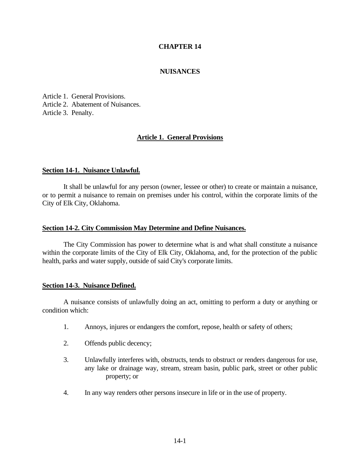## **CHAPTER 14**

### **NUISANCES**

Article 1. General Provisions. Article 2. Abatement of Nuisances. Article 3. Penalty.

## **Article 1. General Provisions**

#### **Section 14-1. Nuisance Unlawful.**

It shall be unlawful for any person (owner, lessee or other) to create or maintain a nuisance, or to permit a nuisance to remain on premises under his control, within the corporate limits of the City of Elk City, Oklahoma.

#### **Section 14-2. City Commission May Determine and Define Nuisances.**

The City Commission has power to determine what is and what shall constitute a nuisance within the corporate limits of the City of Elk City, Oklahoma, and, for the protection of the public health, parks and water supply, outside of said City's corporate limits.

#### **Section 14-3. Nuisance Defined.**

A nuisance consists of unlawfully doing an act, omitting to perform a duty or anything or condition which:

- 1. Annoys, injures or endangers the comfort, repose, health or safety of others;
- 2. Offends public decency;
- 3. Unlawfully interferes with, obstructs, tends to obstruct or renders dangerous for use, any lake or drainage way, stream, stream basin, public park, street or other public property; or
- 4. In any way renders other persons insecure in life or in the use of property.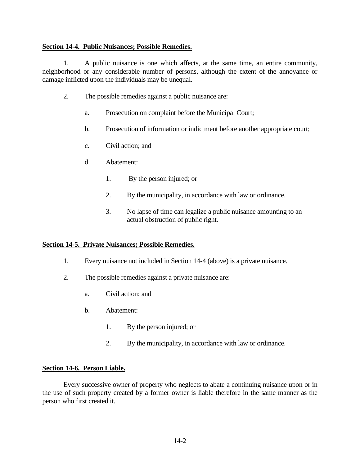### **Section 14-4. Public Nuisances; Possible Remedies.**

1. A public nuisance is one which affects, at the same time, an entire community, neighborhood or any considerable number of persons, although the extent of the annoyance or damage inflicted upon the individuals may be unequal.

- 2. The possible remedies against a public nuisance are:
	- a. Prosecution on complaint before the Municipal Court;
	- b. Prosecution of information or indictment before another appropriate court;
	- c. Civil action; and
	- d. Abatement:
		- 1. By the person injured; or
		- 2. By the municipality, in accordance with law or ordinance.
		- 3. No lapse of time can legalize a public nuisance amounting to an actual obstruction of public right.

### **Section 14-5. Private Nuisances; Possible Remedies.**

- 1. Every nuisance not included in Section 14-4 (above) is a private nuisance.
- 2. The possible remedies against a private nuisance are:
	- a. Civil action; and
	- b. Abatement:
		- 1. By the person injured; or
		- 2. By the municipality, in accordance with law or ordinance.

### **Section 14-6. Person Liable.**

Every successive owner of property who neglects to abate a continuing nuisance upon or in the use of such property created by a former owner is liable therefore in the same manner as the person who first created it.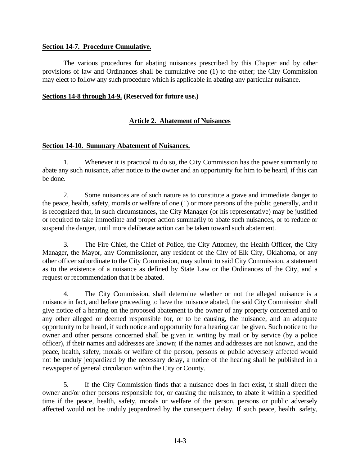### **Section 14-7. Procedure Cumulative.**

The various procedures for abating nuisances prescribed by this Chapter and by other provisions of law and Ordinances shall be cumulative one (1) to the other; the City Commission may elect to follow any such procedure which is applicable in abating any particular nuisance.

### **Sections 14-8 through 14-9. (Reserved for future use.)**

# **Article 2. Abatement of Nuisances**

## **Section 14-10. Summary Abatement of Nuisances.**

1. Whenever it is practical to do so, the City Commission has the power summarily to abate any such nuisance, after notice to the owner and an opportunity for him to be heard, if this can be done.

2. Some nuisances are of such nature as to constitute a grave and immediate danger to the peace, health, safety, morals or welfare of one (1) or more persons of the public generally, and it is recognized that, in such circumstances, the City Manager (or his representative) may be justified or required to take immediate and proper action summarily to abate such nuisances, or to reduce or suspend the danger, until more deliberate action can be taken toward such abatement.

3. The Fire Chief, the Chief of Police, the City Attorney, the Health Officer, the City Manager, the Mayor, any Commissioner, any resident of the City of Elk City, Oklahoma, or any other officer subordinate to the City Commission, may submit to said City Commission, a statement as to the existence of a nuisance as defined by State Law or the Ordinances of the City, and a request or recommendation that it be abated.

4. The City Commission, shall determine whether or not the alleged nuisance is a nuisance in fact, and before proceeding to have the nuisance abated, the said City Commission shall give notice of a hearing on the proposed abatement to the owner of any property concerned and to any other alleged or deemed responsible for, or to be causing, the nuisance, and an adequate opportunity to be heard, if such notice and opportunity for a hearing can be given. Such notice to the owner and other persons concerned shall be given in writing by mail or by service (by a police officer), if their names and addresses are known; if the names and addresses are not known, and the peace, health, safety, morals or welfare of the person, persons or public adversely affected would not be unduly jeopardized by the necessary delay, a notice of the hearing shall be published in a newspaper of general circulation within the City or County.

5. If the City Commission finds that a nuisance does in fact exist, it shall direct the owner and/or other persons responsible for, or causing the nuisance, to abate it within a specified time if the peace, health, safety, morals or welfare of the person, persons or public adversely affected would not be unduly jeopardized by the consequent delay. If such peace, health. safety,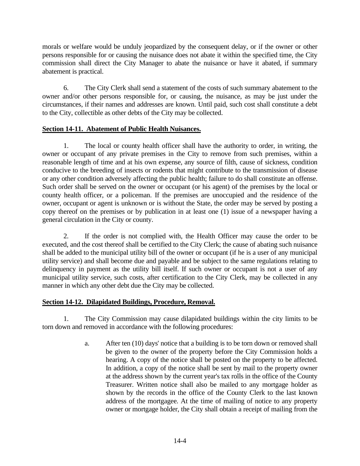morals or welfare would be unduly jeopardized by the consequent delay, or if the owner or other persons responsible for or causing the nuisance does not abate it within the specified time, the City commission shall direct the City Manager to abate the nuisance or have it abated, if summary abatement is practical.

6. The City Clerk shall send a statement of the costs of such summary abatement to the owner and/or other persons responsible for, or causing, the nuisance, as may be just under the circumstances, if their names and addresses are known. Until paid, such cost shall constitute a debt to the City, collectible as other debts of the City may be collected.

# **Section 14-11. Abatement of Public Health Nuisances.**

1. The local or county health officer shall have the authority to order, in writing, the owner or occupant of any private premises in the City to remove from such premises, within a reasonable length of time and at his own expense, any source of filth, cause of sickness, condition conducive to the breeding of insects or rodents that might contribute to the transmission of disease or any other condition adversely affecting the public health; failure to do shall constitute an offense. Such order shall be served on the owner or occupant (or his agent) of the premises by the local or county health officer, or a policeman. If the premises are unoccupied and the residence of the owner, occupant or agent is unknown or is without the State, the order may be served by posting a copy thereof on the premises or by publication in at least one (1) issue of a newspaper having a general circulation in the City or county.

2. If the order is not complied with, the Health Officer may cause the order to be executed, and the cost thereof shall be certified to the City Clerk; the cause of abating such nuisance shall be added to the municipal utility bill of the owner or occupant (if he is a user of any municipal utility service) and shall become due and payable and be subject to the same regulations relating to delinquency in payment as the utility bill itself. If such owner or occupant is not a user of any municipal utility service, such costs, after certification to the City Clerk, may be collected in any manner in which any other debt due the City may be collected.

# **Section 14-12. Dilapidated Buildings, Procedure, Removal.**

1. The City Commission may cause dilapidated buildings within the city limits to be torn down and removed in accordance with the following procedures:

> a. After ten (10) days' notice that a building is to be torn down or removed shall be given to the owner of the property before the City Commission holds a hearing. A copy of the notice shall be posted on the property to be affected. In addition, a copy of the notice shall be sent by mail to the property owner at the address shown by the current year's tax rolls in the office of the County Treasurer. Written notice shall also be mailed to any mortgage holder as shown by the records in the office of the County Clerk to the last known address of the mortgagee. At the time of mailing of notice to any property owner or mortgage holder, the City shall obtain a receipt of mailing from the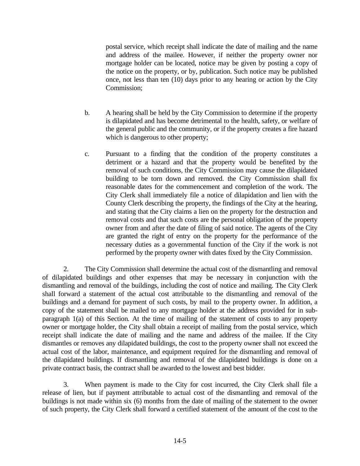postal service, which receipt shall indicate the date of mailing and the name and address of the mailee. However, if neither the property owner nor mortgage holder can be located, notice may be given by posting a copy of the notice on the property, or by, publication. Such notice may be published once, not less than ten (10) days prior to any hearing or action by the City Commission;

- b. A hearing shall be held by the City Commission to determine if the property is dilapidated and has become detrimental to the health, safety, or welfare of the general public and the community, or if the property creates a fire hazard which is dangerous to other property;
- c. Pursuant to a finding that the condition of the property constitutes a detriment or a hazard and that the property would be benefited by the removal of such conditions, the City Commission may cause the dilapidated building to be torn down and removed. the City Commission shall fix reasonable dates for the commencement and completion of the work. The City Clerk shall immediately file a notice of dilapidation and lien with the County Clerk describing the property, the findings of the City at the hearing, and stating that the City claims a lien on the property for the destruction and removal costs and that such costs are the personal obligation of the property owner from and after the date of filing of said notice. The agents of the City are granted the right of entry on the property for the performance of the necessary duties as a governmental function of the City if the work is not performed by the property owner with dates fixed by the City Commission.

2. The City Commission shall determine the actual cost of the dismantling and removal of dilapidated buildings and other expenses that may be necessary in conjunction with the dismantling and removal of the buildings, including the cost of notice and mailing. The City Clerk shall forward a statement of the actual cost attributable to the dismantling and removal of the buildings and a demand for payment of such costs, by mail to the property owner. In addition, a copy of the statement shall be mailed to any mortgage holder at the address provided for in subparagraph 1(a) of this Section. At the time of mailing of the statement of costs to any property owner or mortgage holder, the City shall obtain a receipt of mailing from the postal service, which receipt shall indicate the date of mailing and the name and address of the mailee. If the City dismantles or removes any dilapidated buildings, the cost to the property owner shall not exceed the actual cost of the labor, maintenance, and equipment required for the dismantling and removal of the dilapidated buildings. If dismantling and removal of the dilapidated buildings is done on a private contract basis, the contract shall be awarded to the lowest and best bidder.

3. When payment is made to the City for cost incurred, the City Clerk shall file a release of lien, but if payment attributable to actual cost of the dismantling and removal of the buildings is not made within six (6) months from the date of mailing of the statement to the owner of such property, the City Clerk shall forward a certified statement of the amount of the cost to the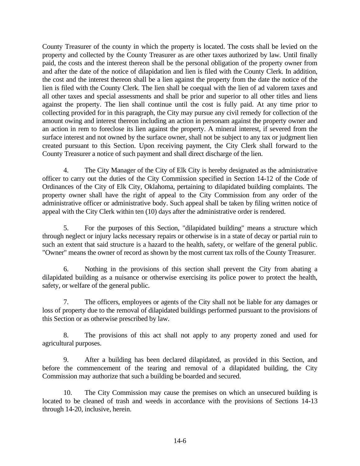County Treasurer of the county in which the property is located. The costs shall be levied on the property and collected by the County Treasurer as are other taxes authorized by law. Until finally paid, the costs and the interest thereon shall be the personal obligation of the property owner from and after the date of the notice of dilapidation and lien is filed with the County Clerk. In addition, the cost and the interest thereon shall be a lien against the property from the date the notice of the lien is filed with the County Clerk. The lien shall be coequal with the lien of ad valorem taxes and all other taxes and special assessments and shall be prior and superior to all other titles and liens against the property. The lien shall continue until the cost is fully paid. At any time prior to collecting provided for in this paragraph, the City may pursue any civil remedy for collection of the amount owing and interest thereon including an action in personam against the property owner and an action in rem to foreclose its lien against the property. A mineral interest, if severed from the surface interest and not owned by the surface owner, shall not be subject to any tax or judgment lien created pursuant to this Section. Upon receiving payment, the City Clerk shall forward to the County Treasurer a notice of such payment and shall direct discharge of the lien.

4. The City Manager of the City of Elk City is hereby designated as the administrative officer to carry out the duties of the City Commission specified in Section 14-12 of the Code of Ordinances of the City of Elk City, Oklahoma, pertaining to dilapidated building complaints. The property owner shall have the right of appeal to the City Commission from any order of the administrative officer or administrative body. Such appeal shall be taken by filing written notice of appeal with the City Clerk within ten (10) days after the administrative order is rendered.

5. For the purposes of this Section, "dilapidated building" means a structure which through neglect or injury lacks necessary repairs or otherwise is in a state of decay or partial ruin to such an extent that said structure is a hazard to the health, safety, or welfare of the general public. "Owner" means the owner of record as shown by the most current tax rolls of the County Treasurer.

6. Nothing in the provisions of this section shall prevent the City from abating a dilapidated building as a nuisance or otherwise exercising its police power to protect the health, safety, or welfare of the general public.

7. The officers, employees or agents of the City shall not be liable for any damages or loss of property due to the removal of dilapidated buildings performed pursuant to the provisions of this Section or as otherwise prescribed by law.

8. The provisions of this act shall not apply to any property zoned and used for agricultural purposes.

9. After a building has been declared dilapidated, as provided in this Section, and before the commencement of the tearing and removal of a dilapidated building, the City Commission may authorize that such a building be boarded and secured.

10. The City Commission may cause the premises on which an unsecured building is located to be cleaned of trash and weeds in accordance with the provisions of Sections 14-13 through 14-20, inclusive, herein.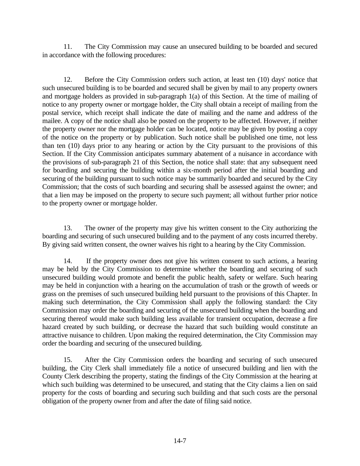11. The City Commission may cause an unsecured building to be boarded and secured in accordance with the following procedures:

12. Before the City Commission orders such action, at least ten (10) days' notice that such unsecured building is to be boarded and secured shall be given by mail to any property owners and mortgage holders as provided in sub-paragraph 1(a) of this Section. At the time of mailing of notice to any property owner or mortgage holder, the City shall obtain a receipt of mailing from the postal service, which receipt shall indicate the date of mailing and the name and address of the mailee. A copy of the notice shall also be posted on the property to be affected. However, if neither the property owner nor the mortgage holder can be located, notice may be given by posting a copy of the notice on the property or by publication. Such notice shall be published one time, not less than ten (10) days prior to any hearing or action by the City pursuant to the provisions of this Section. If the City Commission anticipates summary abatement of a nuisance in accordance with the provisions of sub-paragraph 21 of this Section, the notice shall state: that any subsequent need for boarding and securing the building within a six-month period after the initial boarding and securing of the building pursuant to such notice may be summarily boarded and secured by the City Commission; that the costs of such boarding and securing shall be assessed against the owner; and that a lien may be imposed on the property to secure such payment; all without further prior notice to the property owner or mortgage holder.

13. The owner of the property may give his written consent to the City authorizing the boarding and securing of such unsecured building and to the payment of any costs incurred thereby. By giving said written consent, the owner waives his right to a hearing by the City Commission.

14. If the property owner does not give his written consent to such actions, a hearing may be held by the City Commission to determine whether the boarding and securing of such unsecured building would promote and benefit the public health, safety or welfare. Such hearing may be held in conjunction with a hearing on the accumulation of trash or the growth of weeds or grass on the premises of such unsecured building held pursuant to the provisions of this Chapter. In making such determination, the City Commission shall apply the following standard: the City Commission may order the boarding and securing of the unsecured building when the boarding and securing thereof would make such building less available for transient occupation, decrease a fire hazard created by such building, or decrease the hazard that such building would constitute an attractive nuisance to children. Upon making the required determination, the City Commission may order the boarding and securing of the unsecured building.

15. After the City Commission orders the boarding and securing of such unsecured building, the City Clerk shall immediately file a notice of unsecured building and lien with the County Clerk describing the property, stating the findings of the City Commission at the hearing at which such building was determined to be unsecured, and stating that the City claims a lien on said property for the costs of boarding and securing such building and that such costs are the personal obligation of the property owner from and after the date of filing said notice.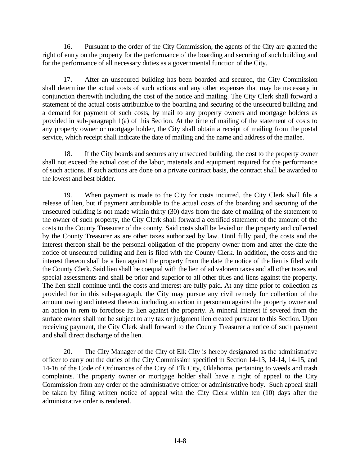16. Pursuant to the order of the City Commission, the agents of the City are granted the right of entry on the property for the performance of the boarding and securing of such building and for the performance of all necessary duties as a governmental function of the City.

17. After an unsecured building has been boarded and secured, the City Commission shall determine the actual costs of such actions and any other expenses that may be necessary in conjunction therewith including the cost of the notice and mailing. The City Clerk shall forward a statement of the actual costs attributable to the boarding and securing of the unsecured building and a demand for payment of such costs, by mail to any property owners and mortgage holders as provided in sub-paragraph 1(a) of this Section. At the time of mailing of the statement of costs to any property owner or mortgage holder, the City shall obtain a receipt of mailing from the postal service, which receipt shall indicate the date of mailing and the name and address of the mailee.

18. If the City boards and secures any unsecured building, the cost to the property owner shall not exceed the actual cost of the labor, materials and equipment required for the performance of such actions. If such actions are done on a private contract basis, the contract shall be awarded to the lowest and best bidder.

19. When payment is made to the City for costs incurred, the City Clerk shall file a release of lien, but if payment attributable to the actual costs of the boarding and securing of the unsecured building is not made within thirty (30) days from the date of mailing of the statement to the owner of such property, the City Clerk shall forward a certified statement of the amount of the costs to the County Treasurer of the county. Said costs shall be levied on the property and collected by the County Treasurer as are other taxes authorized by law. Until fully paid, the costs and the interest thereon shall be the personal obligation of the property owner from and after the date the notice of unsecured building and lien is filed with the County Clerk. In addition, the costs and the interest thereon shall be a lien against the property from the date the notice of the lien is filed with the County Clerk. Said lien shall be coequal with the lien of ad valorem taxes and all other taxes and special assessments and shall be prior and superior to all other titles and liens against the property. The lien shall continue until the costs and interest are fully paid. At any time prior to collection as provided for in this sub-paragraph, the City may pursue any civil remedy for collection of the amount owing and interest thereon, including an action in personam against the property owner and an action in rem to foreclose its lien against the property. A mineral interest if severed from the surface owner shall not be subject to any tax or judgment lien created pursuant to this Section. Upon receiving payment, the City Clerk shall forward to the County Treasurer a notice of such payment and shall direct discharge of the lien.

20. The City Manager of the City of Elk City is hereby designated as the administrative officer to carry out the duties of the City Commission specified in Section 14-13, 14-14, 14-15, and 14-16 of the Code of Ordinances of the City of Elk City, Oklahoma, pertaining to weeds and trash complaints. The property owner or mortgage holder shall have a right of appeal to the City Commission from any order of the administrative officer or administrative body. Such appeal shall be taken by filing written notice of appeal with the City Clerk within ten (10) days after the administrative order is rendered.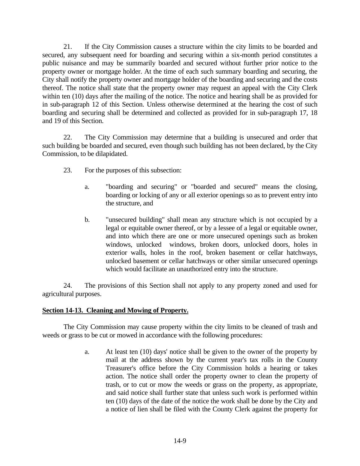21. If the City Commission causes a structure within the city limits to be boarded and secured, any subsequent need for boarding and securing within a six-month period constitutes a public nuisance and may be summarily boarded and secured without further prior notice to the property owner or mortgage holder. At the time of each such summary boarding and securing, the City shall notify the property owner and mortgage holder of the boarding and securing and the costs thereof. The notice shall state that the property owner may request an appeal with the City Clerk within ten (10) days after the mailing of the notice. The notice and hearing shall be as provided for in sub-paragraph 12 of this Section. Unless otherwise determined at the hearing the cost of such boarding and securing shall be determined and collected as provided for in sub-paragraph 17, 18 and 19 of this Section.

22. The City Commission may determine that a building is unsecured and order that such building be boarded and secured, even though such building has not been declared, by the City Commission, to be dilapidated.

- 23. For the purposes of this subsection:
	- a. "boarding and securing" or "boarded and secured" means the closing, boarding or locking of any or all exterior openings so as to prevent entry into the structure, and
	- b. "unsecured building" shall mean any structure which is not occupied by a legal or equitable owner thereof, or by a lessee of a legal or equitable owner, and into which there are one or more unsecured openings such as broken windows, unlocked windows, broken doors, unlocked doors, holes in exterior walls, holes in the roof, broken basement or cellar hatchways, unlocked basement or cellar hatchways or other similar unsecured openings which would facilitate an unauthorized entry into the structure.

24. The provisions of this Section shall not apply to any property zoned and used for agricultural purposes.

## **Section 14-13. Cleaning and Mowing of Property.**

The City Commission may cause property within the city limits to be cleaned of trash and weeds or grass to be cut or mowed in accordance with the following procedures:

> a. At least ten (10) days' notice shall be given to the owner of the property by mail at the address shown by the current year's tax rolls in the County Treasurer's office before the City Commission holds a hearing or takes action. The notice shall order the property owner to clean the property of trash, or to cut or mow the weeds or grass on the property, as appropriate, and said notice shall further state that unless such work is performed within ten (10) days of the date of the notice the work shall be done by the City and a notice of lien shall be filed with the County Clerk against the property for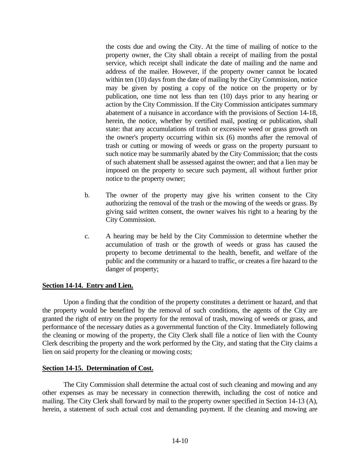the costs due and owing the City. At the time of mailing of notice to the property owner, the City shall obtain a receipt of mailing from the postal service, which receipt shall indicate the date of mailing and the name and address of the mailee. However, if the property owner cannot be located within ten (10) days from the date of mailing by the City Commission, notice may be given by posting a copy of the notice on the property or by publication, one time not less than ten (10) days prior to any hearing or action by the City Commission. If the City Commission anticipates summary abatement of a nuisance in accordance with the provisions of Section 14-18, herein, the notice, whether by certified mail, posting or publication, shall state: that any accumulations of trash or excessive weed or grass growth on the owner's property occurring within six (6) months after the removal of trash or cutting or mowing of weeds or grass on the property pursuant to such notice may be summarily abated by the City Commission; that the costs of such abatement shall be assessed against the owner; and that a lien may be imposed on the property to secure such payment, all without further prior notice to the property owner;

- b. The owner of the property may give his written consent to the City authorizing the removal of the trash or the mowing of the weeds or grass. By giving said written consent, the owner waives his right to a hearing by the City Commission.
- c. A hearing may be held by the City Commission to determine whether the accumulation of trash or the growth of weeds or grass has caused the property to become detrimental to the health, benefit, and welfare of the public and the community or a hazard to traffic, or creates a fire hazard to the danger of property;

### **Section 14-14. Entry and Lien.**

Upon a finding that the condition of the property constitutes a detriment or hazard, and that the property would be benefited by the removal of such conditions, the agents of the City are granted the right of entry on the property for the removal of trash, mowing of weeds or grass, and performance of the necessary duties as a governmental function of the City. Immediately following the cleaning or mowing of the property, the City Clerk shall file a notice of lien with the County Clerk describing the property and the work performed by the City, and stating that the City claims a lien on said property for the cleaning or mowing costs;

### **Section 14-15. Determination of Cost.**

The City Commission shall determine the actual cost of such cleaning and mowing and any other expenses as may be necessary in connection therewith, including the cost of notice and mailing. The City Clerk shall forward by mail to the property owner specified in Section 14-13 (A), herein, a statement of such actual cost and demanding payment. If the cleaning and mowing are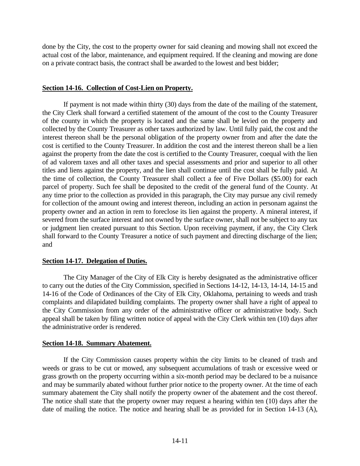done by the City, the cost to the property owner for said cleaning and mowing shall not exceed the actual cost of the labor, maintenance, and equipment required. If the cleaning and mowing are done on a private contract basis, the contract shall be awarded to the lowest and best bidder;

### **Section 14-16. Collection of Cost-Lien on Property.**

If payment is not made within thirty (30) days from the date of the mailing of the statement, the City Clerk shall forward a certified statement of the amount of the cost to the County Treasurer of the county in which the property is located and the same shall be levied on the property and collected by the County Treasurer as other taxes authorized by law. Until fully paid, the cost and the interest thereon shall be the personal obligation of the property owner from and after the date the cost is certified to the County Treasurer. In addition the cost and the interest thereon shall be a lien against the property from the date the cost is certified to the County Treasurer, coequal with the lien of ad valorem taxes and all other taxes and special assessments and prior and superior to all other titles and liens against the property, and the lien shall continue until the cost shall be fully paid. At the time of collection, the County Treasurer shall collect a fee of Five Dollars (\$5.00) for each parcel of property. Such fee shall be deposited to the credit of the general fund of the County. At any time prior to the collection as provided in this paragraph, the City may pursue any civil remedy for collection of the amount owing and interest thereon, including an action in personam against the property owner and an action in rem to foreclose its lien against the property. A mineral interest, if severed from the surface interest and not owned by the surface owner, shall not be subject to any tax or judgment lien created pursuant to this Section. Upon receiving payment, if any, the City Clerk shall forward to the County Treasurer a notice of such payment and directing discharge of the lien; and

### **Section 14-17. Delegation of Duties.**

The City Manager of the City of Elk City is hereby designated as the administrative officer to carry out the duties of the City Commission, specified in Sections 14-12, 14-13, 14-14, 14-15 and 14-16 of the Code of Ordinances of the City of Elk City, Oklahoma, pertaining to weeds and trash complaints and dilapidated building complaints. The property owner shall have a right of appeal to the City Commission from any order of the administrative officer or administrative body. Such appeal shall be taken by filing written notice of appeal with the City Clerk within ten (10) days after the administrative order is rendered.

### **Section 14-18. Summary Abatement.**

If the City Commission causes property within the city limits to be cleaned of trash and weeds or grass to be cut or mowed, any subsequent accumulations of trash or excessive weed or grass growth on the property occurring within a six-month period may be declared to be a nuisance and may be summarily abated without further prior notice to the property owner. At the time of each summary abatement the City shall notify the property owner of the abatement and the cost thereof. The notice shall state that the property owner may request a hearing within ten (10) days after the date of mailing the notice. The notice and hearing shall be as provided for in Section 14-13 (A),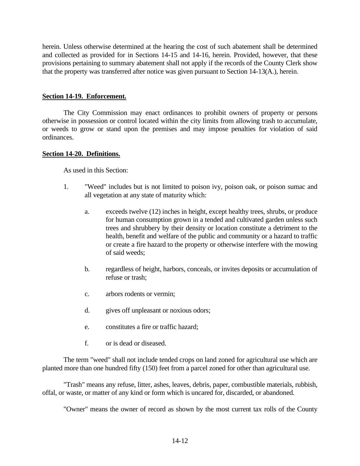herein. Unless otherwise determined at the hearing the cost of such abatement shall be determined and collected as provided for in Sections 14-15 and 14-16, herein. Provided, however, that these provisions pertaining to summary abatement shall not apply if the records of the County Clerk show that the property was transferred after notice was given pursuant to Section 14-13(A.), herein.

### **Section 14-19. Enforcement.**

The City Commission may enact ordinances to prohibit owners of property or persons otherwise in possession or control located within the city limits from allowing trash to accumulate, or weeds to grow or stand upon the premises and may impose penalties for violation of said ordinances.

### **Section 14-20. Definitions.**

As used in this Section:

- 1. "Weed" includes but is not limited to poison ivy, poison oak, or poison sumac and all vegetation at any state of maturity which:
	- a. exceeds twelve (12) inches in height, except healthy trees, shrubs, or produce for human consumption grown in a tended and cultivated garden unless such trees and shrubbery by their density or location constitute a detriment to the health, benefit and welfare of the public and community or a hazard to traffic or create a fire hazard to the property or otherwise interfere with the mowing of said weeds;
	- b. regardless of height, harbors, conceals, or invites deposits or accumulation of refuse or trash;
	- c. arbors rodents or vermin;
	- d. gives off unpleasant or noxious odors;
	- e. constitutes a fire or traffic hazard;
	- f. or is dead or diseased.

The term "weed" shall not include tended crops on land zoned for agricultural use which are planted more than one hundred fifty (150) feet from a parcel zoned for other than agricultural use.

"Trash" means any refuse, litter, ashes, leaves, debris, paper, combustible materials, rubbish, offal, or waste, or matter of any kind or form which is uncared for, discarded, or abandoned.

"Owner" means the owner of record as shown by the most current tax rolls of the County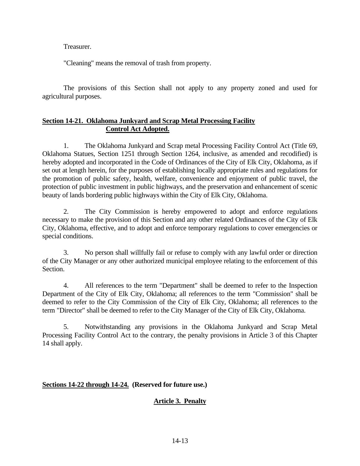Treasurer.

"Cleaning" means the removal of trash from property.

The provisions of this Section shall not apply to any property zoned and used for agricultural purposes.

## **Section 14-21. Oklahoma Junkyard and Scrap Metal Processing Facility Control Act Adopted.**

1. The Oklahoma Junkyard and Scrap metal Processing Facility Control Act (Title 69, Oklahoma Statues, Section 1251 through Section 1264, inclusive, as amended and recodified) is hereby adopted and incorporated in the Code of Ordinances of the City of Elk City, Oklahoma, as if set out at length herein, for the purposes of establishing locally appropriate rules and regulations for the promotion of public safety, health, welfare, convenience and enjoyment of public travel, the protection of public investment in public highways, and the preservation and enhancement of scenic beauty of lands bordering public highways within the City of Elk City, Oklahoma.

2. The City Commission is hereby empowered to adopt and enforce regulations necessary to make the provision of this Section and any other related Ordinances of the City of Elk City, Oklahoma, effective, and to adopt and enforce temporary regulations to cover emergencies or special conditions.

3. No person shall willfully fail or refuse to comply with any lawful order or direction of the City Manager or any other authorized municipal employee relating to the enforcement of this Section.

4. All references to the term "Department" shall be deemed to refer to the Inspection Department of the City of Elk City, Oklahoma; all references to the term "Commission" shall be deemed to refer to the City Commission of the City of Elk City, Oklahoma; all references to the term "Director" shall be deemed to refer to the City Manager of the City of Elk City, Oklahoma.

5. Notwithstanding any provisions in the Oklahoma Junkyard and Scrap Metal Processing Facility Control Act to the contrary, the penalty provisions in Article 3 of this Chapter 14 shall apply.

## **Sections 14-22 through 14-24. (Reserved for future use.)**

# **Article 3. Penalty**